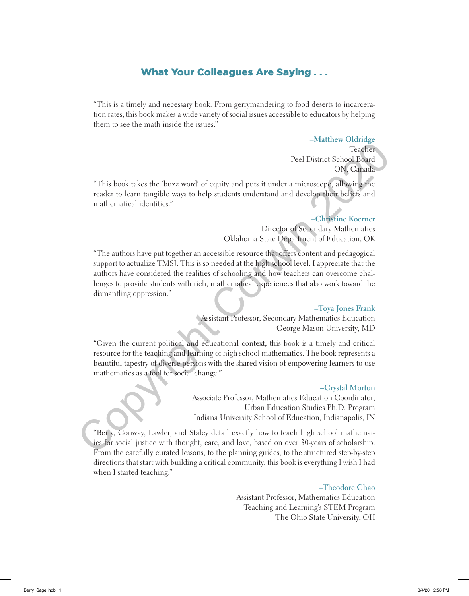# What Your Colleagues Are Saying . . .

"This is a timely and necessary book. From gerrymandering to food deserts to incarceration rates, this book makes a wide variety of social issues accessible to educators by helping them to see the math inside the issues."

## –**Matthew Oldridge**

Teacher Peel District School Board ON, Canada

"This book takes the 'buzz word' of equity and puts it under a microscope, allowing the reader to learn tangible ways to help students understand and develop their beliefs and mathematical identities."

# –**Christine Koerner**

Director of Secondary Mathematics Oklahoma State Department of Education, OK

"The authors have put together an accessible resource that offers content and pedagogical support to actualize TMSJ. This is so needed at the high school level. I appreciate that the authors have considered the realities of schooling and how teachers can overcome challenges to provide students with rich, mathematical experiences that also work toward the dismantling oppression." Finite Shook takes the "buzz word" of equity and puts it under a microscope, allowing the reacher to local book the stress of the stress of the stress of the mathematical dentities."<br>
Christine Koerner (Christine Koerner (

### **–Toya Jones Frank**

Assistant Professor, Secondary Mathematics Education George Mason University, MD

"Given the current political and educational context, this book is a timely and critical resource for the teaching and learning of high school mathematics. The book represents a beautiful tapestry of diverse persons with the shared vision of empowering learners to use mathematics as a tool for social change."

#### **–Crystal Morton**

Associate Professor, Mathematics Education Coordinator, Urban Education Studies Ph.D. Program Indiana University School of Education, Indianapolis, IN

"Berry, Conway, Lawler, and Staley detail exactly how to teach high school mathematics for social justice with thought, care, and love, based on over 30-years of scholarship. From the carefully curated lessons, to the planning guides, to the structured step-by-step directions that start with building a critical community, this book is everything I wish I had when I started teaching."

#### **–Theodore Chao**

Assistant Professor, Mathematics Education Teaching and Learning's STEM Program The Ohio State University, OH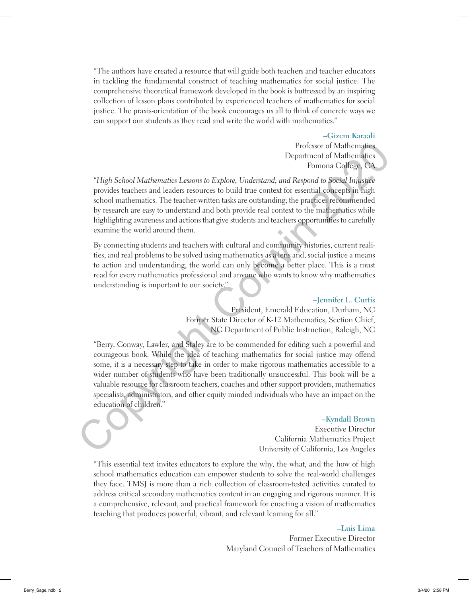"The authors have created a resource that will guide both teachers and teacher educators in tackling the fundamental construct of teaching mathematics for social justice. The comprehensive theoretical framework developed in the book is buttressed by an inspiring collection of lesson plans contributed by experienced teachers of mathematics for social justice. The praxis-orientation of the book encourages us all to think of concrete ways we can support our students as they read and write the world with mathematics."

#### **–Gizem Karaali**

Professor of Mathematics Department of Mathematics Pomona College, CA

"*High School Mathematics Lessons to Explore, Understand, and Respond to Social Injustice* provides teachers and leaders resources to build true context for essential concepts in high school mathematics. The teacher-written tasks are outstanding; the practices recommended by research are easy to understand and both provide real context to the mathematics while highlighting awareness and actions that give students and teachers opportunities to carefully examine the world around them.

By connecting students and teachers with cultural and community histories, current realities, and real problems to be solved using mathematics as a lens and, social justice a means to action and understanding, the world can only become a better place. This is a must read for every mathematics professional and anyone who wants to know why mathematics understanding is important to our society."

## **–Jennifer L. Curtis**

President, Emerald Education, Durham, NC Former State Director of K-12 Mathematics, Section Chief, NC Department of Public Instruction, Raleigh, NC

"Berry, Conway, Lawler, and Staley are to be commended for editing such a powerful and courageous book. While the idea of teaching mathematics for social justice may offend some, it is a necessary step to take in order to make rigorous mathematics accessible to a wider number of students who have been traditionally unsuccessful. This book will be a valuable resource for classroom teachers, coaches and other support providers, mathematics specialists, administrators, and other equity minded individuals who have an impact on the education of children." Profesor of Mathematics Lessons to Explore, Understand, and Respond to Scriptical increases to the condition of California, i.e., the technology of the condition of California, i.e., the technology of the condition of the

#### **–Kyndall Brown**

Executive Director California Mathematics Project University of California, Los Angeles

"This essential text invites educators to explore the why, the what, and the how of high school mathematics education can empower students to solve the real-world challenges they face. TMSJ is more than a rich collection of classroom-tested activities curated to address critical secondary mathematics content in an engaging and rigorous manner. It is a comprehensive, relevant, and practical framework for enacting a vision of mathematics teaching that produces powerful, vibrant, and relevant learning for all."

> **–Luis Lima** Former Executive Director

Maryland Council of Teachers of Mathematics